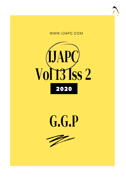





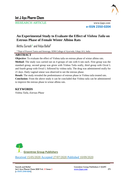

RESEARCH ARTICLE www.ijapc.com

**e-ISSN 2350-0204**

# **An Experimental Study to Evaluate the Effect of** *Vishnu Taila* **on Estrous Phase of Female Wister Albino Rats**

Aktthu Suresh\* and Vidya Ballal<sup>2</sup>

<sup>1,2</sup>Dept of Prasooti Tantra and Streeroga, SDM College of Ayurveda, Udupi, KA, India

# **ABSTRACT**

**Objective:** To evaluate the effect of Vishnu taila on estrous phase of wistar albino rats.

**Method:** The study was carried out on 4 groups of rats with 6 rats each. First group was the standard group, second group was given with Vishnu Taila orally, third group with Ovral L and fourth group with Ovral L followed by vishnu taila. The drug was administered orally for 21 days. Daily vaginal smear was observed to see the estrous phase.

**Result:** The study revealed the predominance of estrous phase in Vishnu taila treated rats.

**Conclusion:** From the above study it can be concluded that Vishnu taila can be administered to improve the estrous phase in wistar albino rats.

# **KEYWORDS**

*Vishnu Taila, Estrous Phase*



Received 15/05/2020 Accepted 27/07/2020 Published 10/09/2020

 $\overline{\phantom{a}}$  , and the contribution of the contribution of the contribution of the contribution of the contribution of the contribution of the contribution of the contribution of the contribution of the contribution of the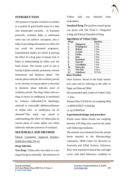

# **INTRODUCTION**

The presence of proper ovulation in women is a symbol of good health status in a lady who menstruates normally. In treatment protocols, ovulation helps to understand when one can achieve conception, also it helps in providing information on when one can avoid the unwanted pregnancy. Experimental studies are aimed at proving the effect of a drug prior to human trial. It helps in understanding its effect over the body tissues. The estrous cycle in rats is having 4 phases namely proestrous, estrous metaestrous and diestrous phase<sup>1</sup>. The estrous phase indicates the ovulatory period in rat. Increase in estrous phase or decrease in diestrous phase indicates more of ovulatory period. The drug vishnu taila as a drug of choice in vandhyatva is mentioned by Acharya chakradutta<sup>2</sup>. In bhaishajya ratnavali in vatavyadhi adhikara,reference of vishnu taila in vandhyatva can be obtained<sup>3</sup>. This study was aimed at understanding, the effect of vishnu taila on estrous phase of wistar albino rats which indirectly indicates presence of ovulation.

# **MATERIALS AND METHOD**

Ethical Committee Approval Number-SDMCRA/IARC/PT-01

### **Drug Selection**

**Test drug:** Vishnu taila was taken as a test drug to be given internally. The reference of Vishnu taila was obtained from chakradutta.

**Standard Drug:**The positive control group was given with Tab Ovral L- Norgestrel 0.3mg and Ethinyl Estradiol 0.03mg

| <b>Ingredients of Vishnu Taila-</b> |  |  |
|-------------------------------------|--|--|
|                                     |  |  |

| -n-<br><b>Drugs</b> |                | <b>Ouantity</b> |
|---------------------|----------------|-----------------|
| 1.                  | Shalaparni     | 1 Pala          |
| 2.                  | Prishniparni   | 1 Pala          |
| 3.                  | <b>Brihati</b> | 1 Pala          |
| 4.                  | Eranda         | 1 Pala          |
| 5.                  | Putika         | 1 Pala          |
| 6.                  | Bala           | 1 Pala          |
| 7.                  | Kantakari      | 1 Pala          |
| 8.                  | Satavari       | 1 Pala          |
| 9.                  | Gavedhuka      | 1 Pala          |
| 10.                 | Saireyaka      | 1 Pala          |
| 11.                 | Tila taila     | 4 Parts         |
| 12.                 | Goksheera      | 16 Parts        |
| Dose Fixation       |                |                 |

**Dose Fixation**

Dose fixation: Based on the body surface area ratio and by referring to the table of Paget and Barnes(1964).

Recommended daily intake of Vishnu Taila  $=1$  Pala

Human Dose X 0.018 for rat weighing 200g i.e,48X0.019X5=4.32ml/kg

i.e,1g=0.00432ml

 $\mathcal{L}_\mathcal{L}$  , and the contribution of the contribution of the contribution of the contribution of the contribution of the contribution of the contribution of the contribution of the contribution of the contribution of

### **Experimental design and procedure**

Wistar strain albino female rats weighing between 150-250g were used for the study with following conditions.

The animals were obtained from the animal house attached to the Pharmacology Laboratory, SDM Centre for Research in Ayurveda and Allied Science, Udyavara. They were exposed to natural day and night cycles with ideal laboratory condition in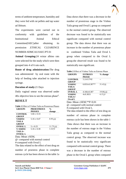

terms of ambient temperature, humidity and they were fed with rat pellets and tap water ad libitum.

The experiments were carried out in conformity with guidelines of the Instituitional Animal Ethical Committee(IAEC)after obtaining its permission .ETHICAL CLEARENCE NUMBER-SDMCAU/IAEC/PT.01

**Animal Grouping:**24 wistar albino rats were selected for the study which were then grouped into 4 of 6 rats each.

**Route of drug administration:**The drug was administered by oral route with the help of feeding tube attached to injection syringe.

#### **Duration of study:**21 Days

Daily vaginal smear was observed under  $40x$  objective lens to see the estrous phase<sup>4</sup>.

### **RESULT**

| <b>Table 1</b> Effect of Vishnu Taila on Proestrous Phases |                                                |                           |  |  |
|------------------------------------------------------------|------------------------------------------------|---------------------------|--|--|
| <b>GROUPS</b>                                              | <b>PROESTROUS</b>                              | $\frac{0}{0}$             |  |  |
|                                                            | <b>PHASES</b>                                  | change                    |  |  |
| CONTROL                                                    | $5.66 + 0.33$                                  |                           |  |  |
| <b>GROUP</b>                                               |                                                |                           |  |  |
| VISHNU                                                     | $5.16 \pm 0.47$                                | $8.93 \downarrow a$       |  |  |
| TAILA                                                      |                                                |                           |  |  |
| <b>GROUP</b>                                               |                                                |                           |  |  |
| <b>OVRAL L</b>                                             | $5 \pm 0.25$                                   | $11.75 \downarrow \omega$ |  |  |
| V+ISHNU                                                    | $5.16 \pm 0.30$                                | $3.32$ $\uparrow \#$      |  |  |
| $TAILA+$                                                   |                                                |                           |  |  |
| OVRAL L                                                    |                                                |                           |  |  |
| Data: Mean $\pm$ SEM,                                      |                                                |                           |  |  |
|                                                            | @ - compared with normal control               |                           |  |  |
| #-compared with Ovral L                                    |                                                |                           |  |  |
|                                                            | The data related to the effect of test drug on |                           |  |  |
|                                                            | number of proestros phase in complete          |                           |  |  |

estrous cycle has been shown in the table 1a

 $\mathcal{L}_\mathcal{L}$  , and the contribution of the contribution of the contribution of the contribution of the contribution of the contribution of the contribution of the contribution of the contribution of the contribution of

Data shows that there was a decrease in the number of proestrous stage in the Vishnu Taila group and Ovral L group as compared to the normal control group. The observed decrease was found to be statistically non significant compared with normal control group. The data shows that there was an increase in the number of proestrous phase in combined Vishnu Taila and Ovral L group when compared to the Ovral L group.the observed result was found to be statistically non significant.

|  | <b>Table 2</b> Effect of Vishnu Taila on Estrous Phase |
|--|--------------------------------------------------------|
|  |                                                        |

| <b>GROUPS</b>  | <b>ESTROUS</b><br>% change |                     |
|----------------|----------------------------|---------------------|
|                | <b>PHASE</b>               |                     |
| <b>CONTROL</b> | $5.2 + 0.3742$             |                     |
| <b>GROUP</b>   |                            |                     |
| <b>VISHNU</b>  | $6.833 \pm 0.307**$        | $31.4 \uparrow (a)$ |
| TAILA          |                            |                     |
| <b>GROUP</b>   |                            |                     |
| <b>OVRAL L</b> | $4.166 \pm 0.307$          | $19.88\sqrt{a}$     |
| <b>VISHNU</b>  | $4+0.3651$                 | $4.15 \downarrow #$ |
| TAILA+         |                            |                     |
| Ovral L        |                            |                     |

Data :Mean ±SEM,\*\*P<0.01 @- compared with normal control #-compared with Ovral L The data related to the effect of test drug on number of estrous phase in complete estrous cycle has been shown in the table 1 Data shows that there was an increase in the number of estrous stage in the Vishnu Taila group as compared to the normal control group. The observed increase was found to be statistically very significant compared with normal control group. There was a decrease in the number of estrous phase in the Ovral L group when compared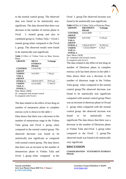

to the normal control group. The observed data was found to be statistically nonsignificant. The data showed that there was decrease in the number of estrous phase in Ovral L treated group and also in combined group ie, Vishnu Taila + Ovral L treated group,when compared to the Ovral L group. The observed results were found to be statistically non-significant.

**Table 3** Effect of Vishnu Taila on Meta Estrous Phase

| <b>GROUPS</b>    | <b>META</b>    | %change                |
|------------------|----------------|------------------------|
|                  | <b>ESTROUS</b> |                        |
|                  | <b>PHASE</b>   |                        |
| <b>CONTROL</b>   | $5.4 + 0.6782$ |                        |
| GROUP            |                |                        |
| <b>VISHNU</b>    | $5+0.3651$     | $7.40\downarrow$ (a)   |
| TAILA            |                |                        |
| <b>GROUP</b>     |                |                        |
| <b>OVRAL L</b>   | $3.833+0.3073$ | $29.01 \downarrow (a)$ |
| <b>VISHNU</b>    | $4.5+0.4282$   | 17.4011#               |
| $TAILA+$         |                |                        |
| <b>OVRAL L</b>   |                |                        |
| Data :Mean ±SEM. |                |                        |

@- compared with normal control

#-compared with Ovral L

The data related to the effect of test drug on number of metaestros phase in complete estrous cycle is shown in the table 1

Data shows that there was a decrease in the number of metaestrous stage in the Vishnu Taila group and Ovral L group when compared to the normal control group. The observed decrease was found to be statistically non significant as compared with normal control group. The data shows that there was an increase in the number of metaestrous phase in Vishnu Taila and Ovral L group when compared to the

Ovral L group.The observed increase was

found to be statistically non-significant.

|                  | Table 4 Effect of Vishnu Taila on Diestrous Phase |                                                 |
|------------------|---------------------------------------------------|-------------------------------------------------|
| <b>GROUPS</b>    | <b>DIESTROUS</b>                                  | %change                                         |
|                  | PHASE                                             |                                                 |
| <b>CONTROL</b>   | $4.6 \pm 0.4000$                                  |                                                 |
| <b>GROUP</b>     |                                                   |                                                 |
| <b>VISHNU</b>    | $4+0.5164$                                        | $13.04 \sqrt{a}$                                |
| <b>TAILA</b>     |                                                   |                                                 |
| <b>GROUP</b>     |                                                   |                                                 |
| <b>OVRAL L</b>   | 7.833±0.3073**                                    | $70.282\,\uparrow\!\!\!\!\!\!\langle a \rangle$ |
| <b>VISHNU</b>    | $7.333+0.4944**$                                  | 6.381#                                          |
| $TAILA+$         |                                                   |                                                 |
| <b>OVRAL L</b>   |                                                   |                                                 |
| Data: Mean + SEM |                                                   |                                                 |

@- compared with normal control #-compared with Ovral L

The data related to the effect of test drug on number of Diestrous phase in complete estrous cycle has been shown in the table 1 Data shows there was a decrease in the number of diestrous stage in the Vishnu Taila group when compared to the normal control group.The observed decrease was found to be statistically non significant compared with normal control group.There was an increase in diestrous phase in Ovraal L group when compared with the normal control group .the observed increase was found to be statistically very significant.The data shows that there was a decrease in the number of Diestrous phase in Vishnu Taila and Ovral L group when compared to the Ovral L group.The observed result was found to be statistically very significant.

# **DISCUSSION**

 $\mathcal{L}_\mathcal{L}$  , and the contribution of the contribution of the contribution of the contribution of the contribution of the contribution of the contribution of the contribution of the contribution of the contribution of

**CONSOLIDATION STATEMENT-ESTROUS PHASE-**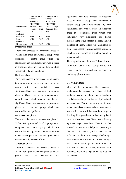|                   | <b>COMPARED</b><br>WITH<br><b>NORMAL</b><br><b>CONTROL</b> |             | <b>COMPARED</b><br>WITH<br><b>POSITIVE</b><br><b>CONTROL</b> |         |
|-------------------|------------------------------------------------------------|-------------|--------------------------------------------------------------|---------|
|                   |                                                            |             |                                                              |         |
|                   |                                                            |             |                                                              |         |
|                   |                                                            |             |                                                              |         |
| <b>Parameters</b> | Positive                                                   | <b>Test</b> | Test                                                         | $drug+$ |
|                   | control                                                    | drug        | Standard drug                                                |         |
| Pro               | <b>NSD</b>                                                 | <b>NSD</b>  | <b>NSI</b>                                                   |         |
| oestrous          |                                                            |             |                                                              |         |
| <b>Oestrous</b>   | NSD                                                        | VSI         | NSD                                                          |         |
| Meta              | <b>NSD</b>                                                 | <b>NSD</b>  | <b>NSI</b>                                                   |         |
| oestrous          |                                                            |             |                                                              |         |
| Di oestrous       | VSI                                                        | NSD         | VSD                                                          |         |
| Drooctroug phose  |                                                            |             |                                                              |         |

**Proestrous phase-**

There was decrease in proestrous phase in Vishnu taila group and Ovral L group when compared to control group which was statistically non significant.There was increase in proestrous phase in combined group which was statistically non significant.

#### **Oestrous phase-**

There was increase in oestrous phase in Vishnu taila group group when compared to control group which was statistically very significant.There was decrease in oestrous phase in Ovral L group when compared to control group which was statistically non significant.There was decrease in proestrous phase in combined group which was statistically non significant.

### **Meta oestrous phase-**

There was decrease in metaestrous phase in Vishnu Taila group and Ovral L group when compared to control group which was statistically non significant.There was increase in metaestrous phase in combined group which was statistically non significant.

### **Diestrous phase-**

There was decrease in diestrous phase in Vishnu Taila group when compared to control group which was statistically non

 $\mathcal{L}_\mathcal{L}$  , and the contribution of the contribution of the contribution of the contribution of the contribution of the contribution of the contribution of the contribution of the contribution of the contribution of

significant.There was increase in diestrous phase in Ovral L group when compared to control group which was statistically very significant.There was decrease in diestrous phase in combined group which was statistically very significant. The drastic increase in the estrus phase in the study showed the effect of Vishnu taila in rats . With effect to their sexual receptiveness , increased oestrogen which can be inferred as ovulatory period in lower animals .

The vaginal smear of Group 2 showed more of estrous cycle when compared to the Group 3.which showed an increase in ovulatory phase in rats

### **CONCLUSION**

Most of the ingredients like shalaparni, prishniparni, bala, goksheera, shatavari etc had madhura rasa and madhura vipaka. Madhura rasa is having the predominance of prithvi and ap mahabhuta .Due to the guru guna of these mahabhuta it is considered to have the tendency to move in downward direction. Few drugs in the drug like gavedhuka, brihati and prishni parni exhibits katu rasa. Katu rasa is having agni and vayu mahabhuta .Thus it can be inferred as one which helps in apana vayu functions of artava janaka and artava nishkramana.Tila is ushna veerya which might have acted as pittakaraka which probably might have acted as arthava janaka. Here arthava in the form of menstrual cycle, ovulation and hormones facilitating regular cycles may be considered.